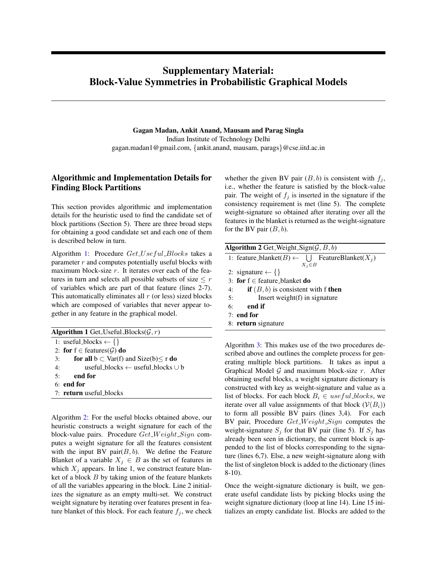## Supplementary Material: Block-Value Symmetries in Probabilistic Graphical Models

Gagan Madan, Ankit Anand, Mausam and Parag Singla Indian Institute of Technology Delhi gagan.madan1@gmail.com, {ankit.anand, mausam, parags}@cse.iitd.ac.in

## Algorithmic and Implementation Details for Finding Block Partitions

This section provides algorithmic and implementation details for the heuristic used to find the candidate set of block partitions (Section 5). There are three broad steps for obtaining a good candidate set and each one of them is described below in turn.

Algorithm [1:](#page-0-0) Procedure Get\_Useful\_Blocks takes a parameter  $r$  and computes potentially useful blocks with maximum block-size  $r$ . It iterates over each of the features in turn and selects all possible subsets of size  $\leq r$ of variables which are part of that feature (lines 2-7). This automatically eliminates all  $r$  (or less) sized blocks which are composed of variables that never appear together in any feature in the graphical model.

<span id="page-0-0"></span>Algorithm 1 Get\_Useful\_Blocks( $\mathcal{G}, r$ ) 1: useful\_blocks  $\leftarrow \{\}$ 2: for  $f \in$  features( $\mathcal{G}$ ) do 3: for all  $b \subset \text{Var}(f)$  and  $\text{Size}(b) \le r$  do 4: useful blocks ← useful blocks ∪ b 5: end for 6: end for 7: return useful\_blocks

Algorithm [2:](#page-0-1) For the useful blocks obtained above, our heuristic constructs a weight signature for each of the block-value pairs. Procedure  $Get\_Weight\_Sign$  computes a weight signature for all the features consistent with the input BV pair $(B, b)$ . We define the Feature Blanket of a variable  $X_j \in B$  as the set of features in which  $X_i$  appears. In line 1, we construct feature blanket of a block  $B$  by taking union of the feature blankets of all the variables appearing in the block. Line 2 initializes the signature as an empty multi-set. We construct weight signature by iterating over features present in feature blanket of this block. For each feature  $f_i$ , we check

whether the given BV pair  $(B, b)$  is consistent with  $f_i$ , i.e., whether the feature is satisfied by the block-value pair. The weight of  $f_j$  is inserted in the signature if the consistency requirement is met (line 5). The complete weight-signature so obtained after iterating over all the features in the blanket is returned as the weight-signature for the BV pair  $(B, b)$ .

<span id="page-0-1"></span>

| <b>Algorithm 2</b> Get_Weight_Sign( $G, B, b$ )                        |
|------------------------------------------------------------------------|
| 1: feature_blanket( $B$ ) $\leftarrow \bigcup$ FeatureBlanket( $X_i$ ) |
| $X_i \in B$                                                            |
| 2: signature $\leftarrow \{\}$                                         |
| 3: for $f \in$ feature blanket do                                      |
| <b>if</b> $(B, b)$ is consistent with f <b>then</b><br>4:              |
| Insert weight $(f)$ in signature<br>5:                                 |
| end if<br>6:                                                           |
| $7:$ end for                                                           |
| 8: return signature                                                    |
|                                                                        |

Algorithm [3:](#page-1-0) This makes use of the two procedures described above and outlines the complete process for generating multiple block partitions. It takes as input a Graphical Model  $G$  and maximum block-size  $r$ . After obtaining useful blocks, a weight signature dictionary is constructed with key as weight-signature and value as a list of blocks. For each block  $B_i \in useful\_blocks$ , we iterate over all value assignments of that block  $(V(B_i))$ to form all possible BV pairs (lines 3,4). For each BV pair, Procedure  $Get\_Weight\_Sign$  computes the weight-signature  $S_i$  for that BV pair (line 5). If  $S_i$  has already been seen in dictionary, the current block is appended to the list of blocks corresponding to the signature (lines 6,7). Else, a new weight-signature along with the list of singleton block is added to the dictionary (lines 8-10).

Once the weight-signature dictionary is built, we generate useful candidate lists by picking blocks using the weight signature dictionary (loop at line 14). Line 15 initializes an empty candidate list. Blocks are added to the